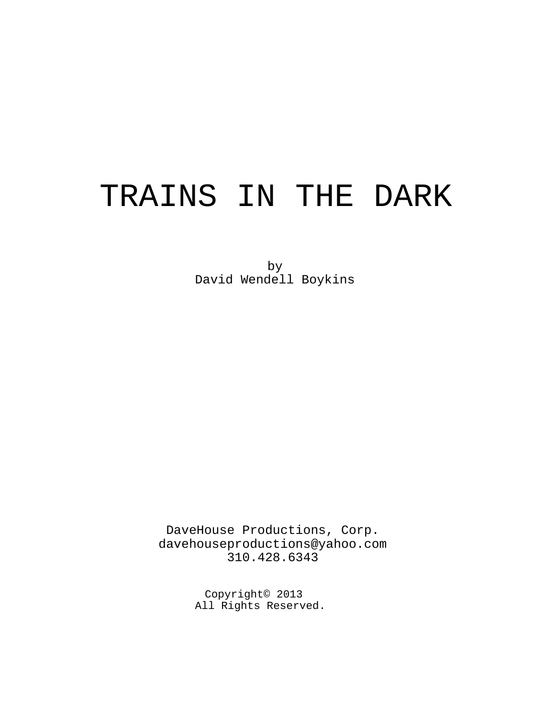# TRAINS IN THE DARK

by David Wendell Boykins

DaveHouse Productions, Corp. davehouseproductions@yahoo.com 310.428.6343

> Copyright© 2013 All Rights Reserved.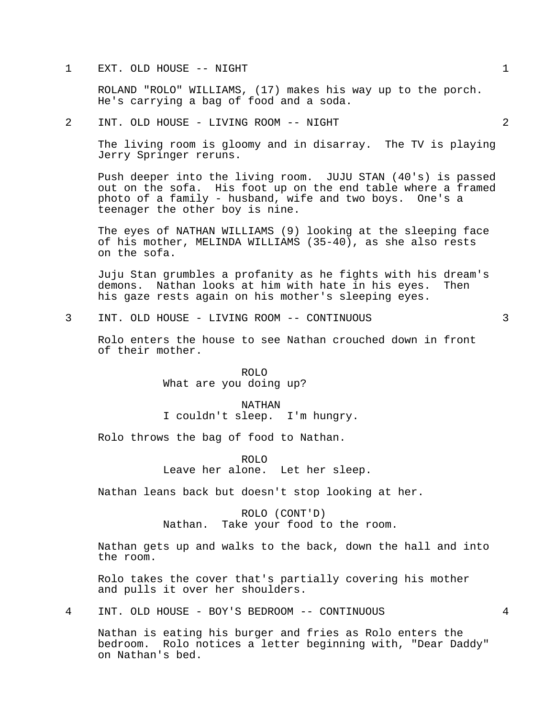#### 1 EXT. OLD HOUSE -- NIGHT 1

ROLAND "ROLO" WILLIAMS, (17) makes his way up to the porch. He's carrying a bag of food and a soda.

#### 2 INT. OLD HOUSE - LIVING ROOM -- NIGHT 2

The living room is gloomy and in disarray. The TV is playing Jerry Springer reruns.

Push deeper into the living room. JUJU STAN (40's) is passed out on the sofa. His foot up on the end table where a framed photo of a family - husband, wife and two boys. One's a teenager the other boy is nine.

The eyes of NATHAN WILLIAMS (9) looking at the sleeping face of his mother, MELINDA WILLIAMS (35-40), as she also rests on the sofa.

Juju Stan grumbles a profanity as he fights with his dream's demons. Nathan looks at him with hate in his eyes. Then his gaze rests again on his mother's sleeping eyes.

## 3 INT. OLD HOUSE - LIVING ROOM -- CONTINUOUS 3

Rolo enters the house to see Nathan crouched down in front of their mother.

> ROLO What are you doing up?

NATHAN I couldn't sleep. I'm hungry.

Rolo throws the bag of food to Nathan.

ROLO Leave her alone. Let her sleep.

Nathan leans back but doesn't stop looking at her.

ROLO (CONT'D) Nathan. Take your food to the room.

Nathan gets up and walks to the back, down the hall and into the room.

Rolo takes the cover that's partially covering his mother and pulls it over her shoulders.

4 INT. OLD HOUSE - BOY'S BEDROOM -- CONTINUOUS 4

Nathan is eating his burger and fries as Rolo enters the bedroom. Rolo notices a letter beginning with, "Dear Daddy" on Nathan's bed.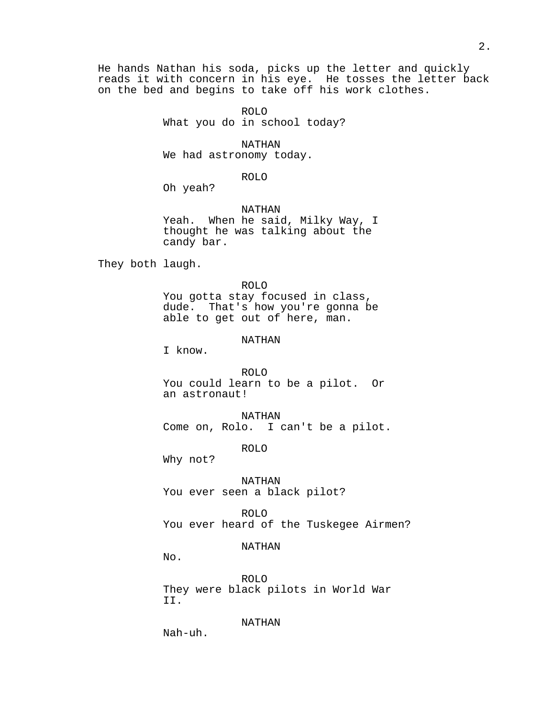He hands Nathan his soda, picks up the letter and quickly reads it with concern in his eye. He tosses the letter back on the bed and begins to take off his work clothes.

> ROLO What you do in school today?

> > NATHAN

We had astronomy today.

ROLO

Oh yeah?

NATHAN Yeah. When he said, Milky Way, I thought he was talking about the candy bar.

They both laugh.

ROLO You gotta stay focused in class, dude. That's how you're gonna be able to get out of here, man.

NATHAN

I know.

ROLO You could learn to be a pilot. Or an astronaut!

NATHAN Come on, Rolo. I can't be a pilot.

ROLO

Why not?

NATHAN You ever seen a black pilot?

ROLO You ever heard of the Tuskegee Airmen?

NATHAN

No.

ROLO They were black pilots in World War II.

NATHAN

Nah-uh.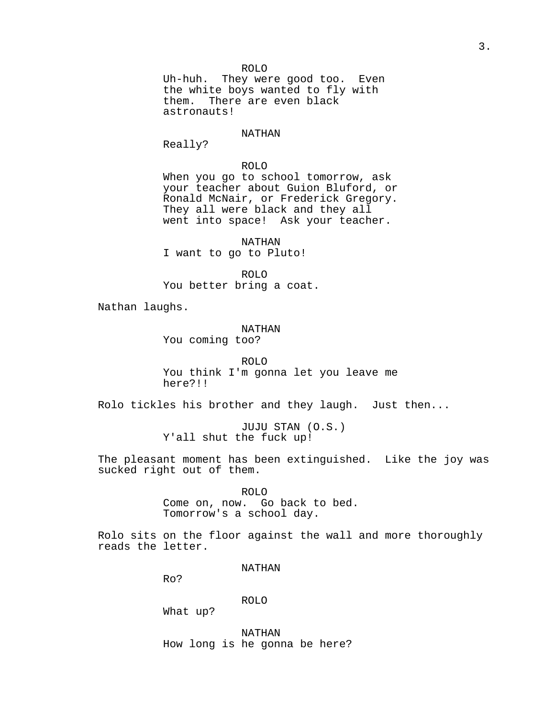ROLO Uh-huh. They were good too. Even the white boys wanted to fly with them. There are even black astronauts!

#### NATHAN

Really?

### ROLO

When you go to school tomorrow, ask your teacher about Guion Bluford, or Ronald McNair, or Frederick Gregory. They all were black and they all went into space! Ask your teacher.

NATHAN I want to go to Pluto!

ROLO You better bring a coat.

Nathan laughs.

NATHAN You coming too?

ROLO You think I'm gonna let you leave me here?!!

Rolo tickles his brother and they laugh. Just then...

JUJU STAN (O.S.) Y'all shut the fuck up!

The pleasant moment has been extinguished. Like the joy was sucked right out of them.

ROLO

Come on, now. Go back to bed. Tomorrow's a school day.

Rolo sits on the floor against the wall and more thoroughly reads the letter.

NATHAN

Ro?

ROLO

What up?

NATHAN How long is he gonna be here?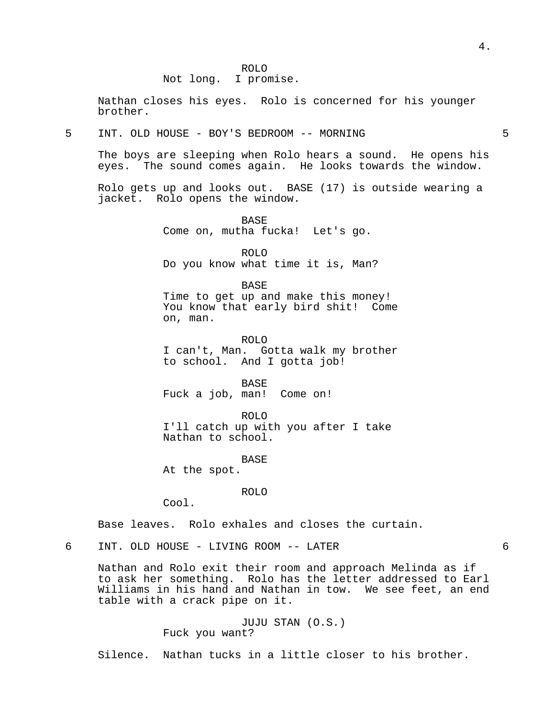Not long. I promise.

Nathan closes his eyes. Rolo is concerned for his younger brother.

5 INT. OLD HOUSE - BOY'S BEDROOM -- MORNING 5

The boys are sleeping when Rolo hears a sound. He opens his eyes. The sound comes again. He looks towards the window.

Rolo gets up and looks out. BASE (17) is outside wearing a jacket. Rolo opens the window.

> BASE Come on, mutha fucka! Let's go.

ROLO Do you know what time it is, Man?

BASE Time to get up and make this money! You know that early bird shit! Come on, man.

ROLO I can't, Man. Gotta walk my brother to school. And I gotta job!

BASE Fuck a job, man! Come on!

ROLO I'll catch up with you after I take Nathan to school.

BASE

At the spot.

ROLO

Cool.

Base leaves. Rolo exhales and closes the curtain.

6 INT. OLD HOUSE - LIVING ROOM -- LATER 6

Nathan and Rolo exit their room and approach Melinda as if to ask her something. Rolo has the letter addressed to Earl Williams in his hand and Nathan in tow. We see feet, an end table with a crack pipe on it.

> JUJU STAN (O.S.) Fuck you want?

Silence. Nathan tucks in a little closer to his brother.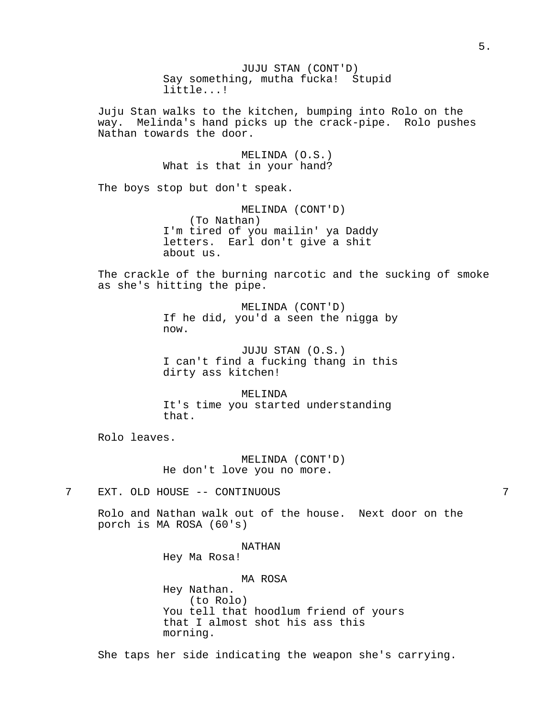JUJU STAN (CONT'D) Say something, mutha fucka! Stupid little...! Juju Stan walks to the kitchen, bumping into Rolo on the way. Melinda's hand picks up the crack-pipe. Rolo pushes Nathan towards the door. MELINDA (O.S.) What is that in your hand? The boys stop but don't speak. MELINDA (CONT'D) (To Nathan) I'm tired of you mailin' ya Daddy letters. Earl don't give a shit about us. The crackle of the burning narcotic and the sucking of smoke as she's hitting the pipe. MELINDA (CONT'D) If he did, you'd a seen the nigga by now. JUJU STAN (O.S.) I can't find a fucking thang in this dirty ass kitchen! MELINDA It's time you started understanding that. Rolo leaves. MELINDA (CONT'D) He don't love you no more. 7 EXT. OLD HOUSE -- CONTINUOUS 7 Rolo and Nathan walk out of the house. Next door on the porch is MA ROSA (60's) NATHAN Hey Ma Rosa! MA ROSA Hey Nathan. (to Rolo) You tell that hoodlum friend of yours that I almost shot his ass this morning.

She taps her side indicating the weapon she's carrying.